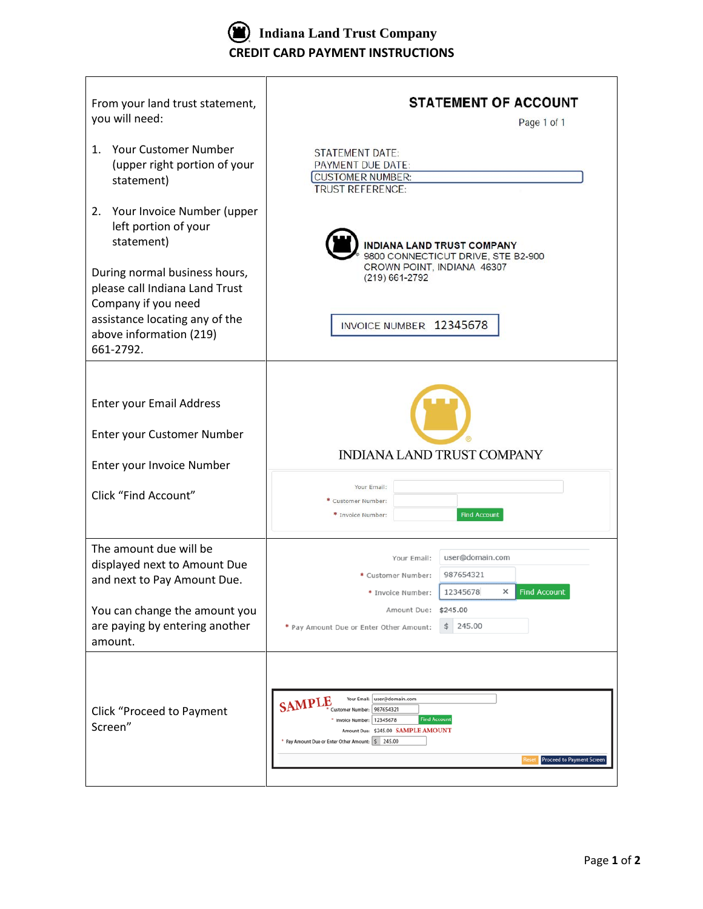

 $\Gamma$ 

| From your land trust statement,<br>you will need:                                      | <b>STATEMENT OF ACCOUNT</b><br>Page 1 of 1                                                                                                                                                                                                                      |  |  |  |  |  |
|----------------------------------------------------------------------------------------|-----------------------------------------------------------------------------------------------------------------------------------------------------------------------------------------------------------------------------------------------------------------|--|--|--|--|--|
| Your Customer Number<br>1.<br>(upper right portion of your<br>statement)               | <b>STATEMENT DATE:</b><br>PAYMENT DUE DATE:<br><b>CUSTOMER NUMBER:</b><br><b>TRUST REFERENCE:</b>                                                                                                                                                               |  |  |  |  |  |
| Your Invoice Number (upper<br>2.<br>left portion of your<br>statement)                 | <b>INDIANA LAND TRUST COMPANY</b><br>9800 CONNECTICUT DRIVE, STE B2-900                                                                                                                                                                                         |  |  |  |  |  |
| During normal business hours,<br>please call Indiana Land Trust<br>Company if you need | CROWN POINT, INDIANA 46307<br>(219) 661-2792                                                                                                                                                                                                                    |  |  |  |  |  |
| assistance locating any of the<br>above information (219)<br>661-2792.                 | INVOICE NUMBER 12345678                                                                                                                                                                                                                                         |  |  |  |  |  |
| <b>Enter your Email Address</b>                                                        |                                                                                                                                                                                                                                                                 |  |  |  |  |  |
| Enter your Customer Number                                                             | INDIANA LAND TRUST COMPANY                                                                                                                                                                                                                                      |  |  |  |  |  |
| Enter your Invoice Number<br>Click "Find Account"                                      | Your Email:<br>Customer Number:<br>* Invoice Number:<br><b>Find Account</b>                                                                                                                                                                                     |  |  |  |  |  |
| The amount due will be<br>displayed next to Amount Due<br>and next to Pay Amount Due.  | user@domain.com<br>Your Email:<br>987654321<br>* Customer Number:<br>* Invoice Number:<br>12345678<br><b>Find Account</b>                                                                                                                                       |  |  |  |  |  |
| You can change the amount you<br>are paying by entering another<br>amount.             | Amount Due: \$245.00<br>245.00<br>\$<br>* Pay Amount Due or Enter Other Amount:                                                                                                                                                                                 |  |  |  |  |  |
| <b>Click "Proceed to Payment</b><br>Screen"                                            | Your Email:<br>user@domain.com<br><b>SAMPLE</b><br>987654321<br>Customer Number:<br><b>Find Account</b><br>12345678<br>* Invoice Number:<br>Amount Due: \$245.00 SAMPLE AMOUNT<br>* Pay Amount Due or Enter Other Amount: \$245.00<br>Proceed to Payment Screen |  |  |  |  |  |